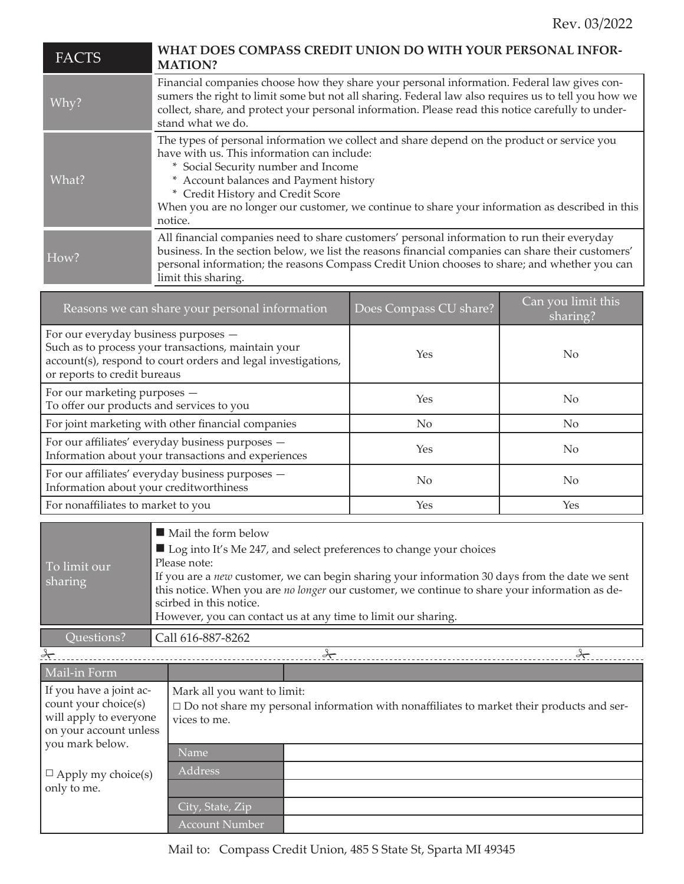| <b>FACTS</b>                                                                                               | WHAT DOES COMPASS CREDIT UNION DO WITH YOUR PERSONAL INFOR-<br><b>MATION?</b>                                                                                                                                                                                                                                                                                                  |  |  |
|------------------------------------------------------------------------------------------------------------|--------------------------------------------------------------------------------------------------------------------------------------------------------------------------------------------------------------------------------------------------------------------------------------------------------------------------------------------------------------------------------|--|--|
| Why?                                                                                                       | Financial companies choose how they share your personal information. Federal law gives con-<br>sumers the right to limit some but not all sharing. Federal law also requires us to tell you how we<br>collect, share, and protect your personal information. Please read this notice carefully to under-<br>stand what we do.                                                  |  |  |
| What?                                                                                                      | The types of personal information we collect and share depend on the product or service you<br>have with us. This information can include:<br>* Social Security number and Income<br>* Account balances and Payment history<br>* Credit History and Credit Score<br>When you are no longer our customer, we continue to share your information as described in this<br>notice. |  |  |
| How?                                                                                                       | All financial companies need to share customers' personal information to run their everyday<br>business. In the section below, we list the reasons financial companies can share their customers'<br>personal information; the reasons Compass Credit Union chooses to share; and whether you can<br>limit this sharing.                                                       |  |  |
| Can you limit this<br>Reasons we can share your personal information<br>Does Compass CU share?<br>sharing? |                                                                                                                                                                                                                                                                                                                                                                                |  |  |
| For our overvelor business purposes                                                                        |                                                                                                                                                                                                                                                                                                                                                                                |  |  |

| For our everyday business purposes -<br>Such as to process your transactions, maintain your<br>account(s), respond to court orders and legal investigations,<br>or reports to credit bureaus | Yes            | No.            |
|----------------------------------------------------------------------------------------------------------------------------------------------------------------------------------------------|----------------|----------------|
| For our marketing purposes -<br>To offer our products and services to you                                                                                                                    | Yes            | No             |
| For joint marketing with other financial companies                                                                                                                                           | $\overline{N}$ | N <sub>0</sub> |
| For our affiliates' everyday business purposes -<br>Information about your transactions and experiences                                                                                      | Yes            | No             |
| For our affiliates' everyday business purposes -<br>Information about your creditworthiness                                                                                                  | No.            | No             |
| For nonaffiliates to market to you                                                                                                                                                           | Yes            | Yes            |

| To limit our<br>sharing | $\blacksquare$ Mail the form below<br>$\blacksquare$ Log into It's Me 247, and select preferences to change your choices<br>Please note:<br>If you are a <i>new</i> customer, we can begin sharing your information 30 days from the date we sent<br>this notice. When you are no longer our customer, we continue to share your information as de-<br>scirbed in this notice. |
|-------------------------|--------------------------------------------------------------------------------------------------------------------------------------------------------------------------------------------------------------------------------------------------------------------------------------------------------------------------------------------------------------------------------|
|                         | However, you can contact us at any time to limit our sharing.                                                                                                                                                                                                                                                                                                                  |
| Ouestions?              | Call 616-887-8262                                                                                                                                                                                                                                                                                                                                                              |

| $\frac{3}{2}$                                                                                                                                                      |                                                                                                                                                    | $\rightarrow$ |  |
|--------------------------------------------------------------------------------------------------------------------------------------------------------------------|----------------------------------------------------------------------------------------------------------------------------------------------------|---------------|--|
| Mail-in Form                                                                                                                                                       |                                                                                                                                                    |               |  |
| If you have a joint ac-<br>count your choice(s)<br>will apply to everyone<br>on your account unless<br>you mark below.<br>$\Box$ Apply my choice(s)<br>only to me. | Mark all you want to limit:<br>$\square$ Do not share my personal information with nonaffiliates to market their products and ser-<br>vices to me. |               |  |
|                                                                                                                                                                    | Name                                                                                                                                               |               |  |
|                                                                                                                                                                    | <b>Address</b>                                                                                                                                     |               |  |
|                                                                                                                                                                    | City, State, Zip                                                                                                                                   |               |  |
|                                                                                                                                                                    | <b>Account Number</b>                                                                                                                              |               |  |

Mail to: Compass Credit Union, 485 S State St, Sparta MI 49345